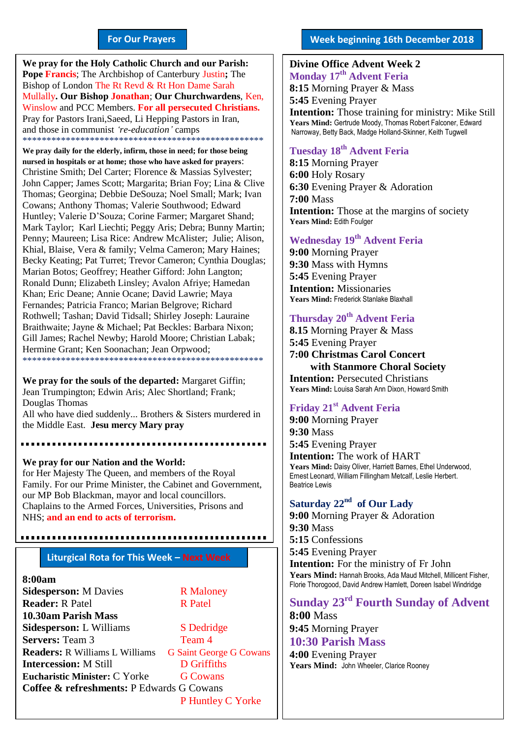#### **For Our Prayers**

arted Mullally**. Our Bishop Jonathan**; **Our Churchwardens**, Ken, **We pray for the Holy Catholic Church and our Parish: Pope Francis**; The Archbishop of Canterbury Justin**;** The Bishop of London The Rt Revd & Rt Hon Dame Sarah Winslow and PCC Members. **For all persecuted Christians.** Pray for Pastors Irani,Saeed, Li Hepping Pastors in Iran, and those in communist *'re-education'* camps \*\*\*\*\*\*\*\*\*\*\*\*\*\*\*\*\*\*\*\*\*\*\*\*\*\*\*\*\*\*\*\*\*\*\*\*\*\*\*\*\*\*\*\*\*\*\*\*\*\*

**We pray daily for the elderly, infirm, those in need; for those being nursed in hospitals or at home; those who have asked for prayers**: Christine Smith; Del Carter; Florence & Massias Sylvester; John Capper; James Scott; Margarita; Brian Foy; Lina & Clive Thomas; Georgina; Debbie DeSouza; Noel Small; Mark; Ivan Cowans; Anthony Thomas; Valerie Southwood; Edward Huntley; Valerie D'Souza; Corine Farmer; Margaret Shand; Mark Taylor; Karl Liechti; Peggy Aris; Debra; Bunny Martin; Penny; Maureen; Lisa Rice: Andrew McAlister; Julie; Alison, Khial, Blaise, Vera & family; Velma Cameron; Mary Haines; Becky Keating; Pat Turret; Trevor Cameron; Cynthia Douglas; Marian Botos; Geoffrey; Heather Gifford: John Langton; Ronald Dunn; Elizabeth Linsley; Avalon Afriye; Hamedan Khan; Eric Deane; Annie Ocane; David Lawrie; Maya Fernandes; Patricia Franco; Marian Belgrove; Richard Rothwell; Tashan; David Tidsall; Shirley Joseph: Lauraine Braithwaite; Jayne & Michael; Pat Beckles: Barbara Nixon; Gill James; Rachel Newby; Harold Moore; Christian Labak; Hermine Grant; Ken Soonachan; Jean Orpwood; \*\*\*\*\*\*\*\*\*\*\*\*\*\*\*\*\*\*\*\*\*\*\*\*\*\*\*\*\*\*\*\*\*\*\*\*\*\*\*\*\*\*\*\*\*\*\*\*\*\*

**We pray for the souls of the departed:** Margaret Giffin; Jean Trumpington; Edwin Aris; Alec Shortland; Frank; Douglas Thomas All who have died suddenly... Brothers & Sisters murdered in

the Middle East. **Jesu mercy Mary pray**

**We pray for our Nation and the World:** for Her Majesty The Queen, and members of the Royal Family. For our Prime Minister, the Cabinet and Government, our MP Bob Blackman, mayor and local councillors. Chaplains to the Armed Forces, Universities, Prisons and NHS; **and an end to acts of terrorism.**

#### **Liturgical Rota for This Week – Next Week**

#### **8:00am**

**Sidesperson:** M Davies R Maloney **Reader:** R Patel R Patel **10.30am Parish Mass Sidesperson:** L Williams S Dedridge **Servers:** Team 3 Team 4 **Readers:** R Williams L Williams G Saint George G Cowans **Intercession:** M Still **D Griffiths Eucharistic Minister:** C Yorke **G Cowans Coffee & refreshments:** P Edwards G Cowans P Huntley C Yorke

#### **Divine Office Advent Week 2 Monday 17 th Advent Feria**

**8:15** Morning Prayer & Mass **5:45** Evening Prayer **Intention:** Those training for ministry: Mike Still **Years Mind:** Gertrude Moody, Thomas Robert Falconer, Edward Narroway, Betty Back, Madge Holland-Skinner, Keith Tugwell

#### **Tuesday 18 th Advent Feria**

**8:15** Morning Prayer **6:00** Holy Rosary **6:30** Evening Prayer & Adoration **7:00** Mass **Intention:** Those at the margins of society **Years Mind:** Edith Foulger

#### **Wednesday 19 th Advent Feria**

**9:00** Morning Prayer **9:30** Mass with Hymns **5:45** Evening Prayer **Intention:** Missionaries **Years Mind:** Frederick Stanlake Blaxhall

#### **Thursday 20th Advent Feria**

**8.15** Morning Prayer & Mass **5:45** Evening Prayer **7:00 Christmas Carol Concert with Stanmore Choral Society Intention:** Persecuted Christians **Years Mind:** Louisa Sarah Ann Dixon, Howard Smith

#### **Friday 21st Advent Feria**

**9:00** Morning Prayer **9:30** Mass **5:45** Evening Prayer

**Intention:** The work of HART **Years Mind:** Daisy Oliver, Harriett Barnes, Ethel Underwood, Ernest Leonard, William Fillingham Metcalf, Leslie Herbert. Beatrice Lewis

#### **Saturday 22nd of Our Lady**

**9:00** Morning Prayer & Adoration **9:30** Mass **5:15** Confessions **5:45** Evening Prayer **Intention:** For the ministry of Fr John **Years Mind:** Hannah Brooks, Ada Maud Mitchell, Millicent Fisher, Florie Thorogood, David Andrew Hamlett, Doreen Isabel Windridge

### **Sunday 23rd Fourth Sunday of Advent**

**8:00** Mass **9:45** Morning Prayer **10:30 Parish Mass** 

**4:00** Evening Prayer **Years Mind:** John Wheeler, Clarice Rooney